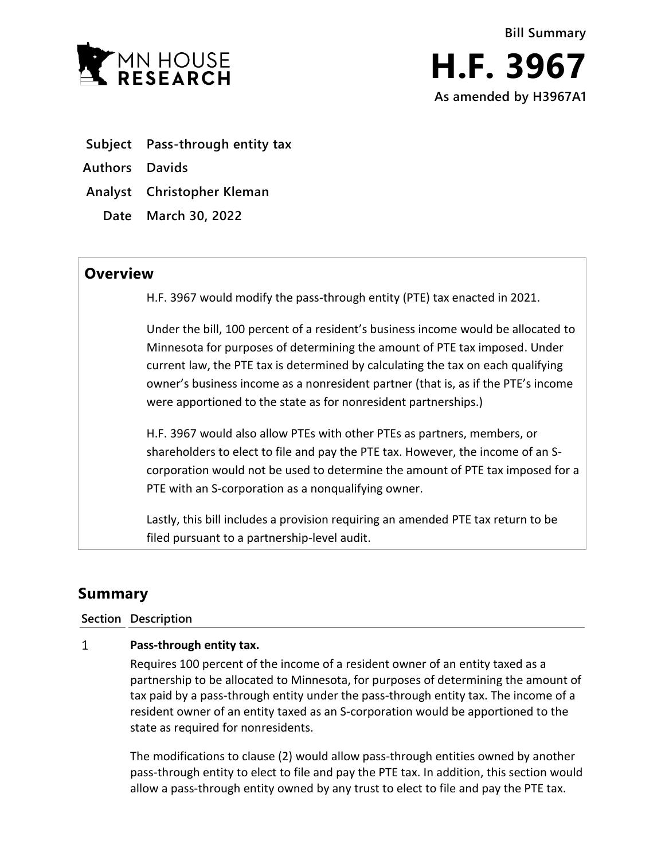

- **Subject Pass-through entity tax**
- **Authors Davids**
- **Analyst Christopher Kleman**
	- **Date March 30, 2022**

## **Overview**

H.F. 3967 would modify the pass-through entity (PTE) tax enacted in 2021.

Under the bill, 100 percent of a resident's business income would be allocated to Minnesota for purposes of determining the amount of PTE tax imposed. Under current law, the PTE tax is determined by calculating the tax on each qualifying owner's business income as a nonresident partner (that is, as if the PTE's income were apportioned to the state as for nonresident partnerships.)

H.F. 3967 would also allow PTEs with other PTEs as partners, members, or shareholders to elect to file and pay the PTE tax. However, the income of an Scorporation would not be used to determine the amount of PTE tax imposed for a PTE with an S-corporation as a nonqualifying owner.

Lastly, this bill includes a provision requiring an amended PTE tax return to be filed pursuant to a partnership-level audit.

# **Summary**

### **Section Description**

#### $\mathbf{1}$ **Pass-through entity tax.**

Requires 100 percent of the income of a resident owner of an entity taxed as a partnership to be allocated to Minnesota, for purposes of determining the amount of tax paid by a pass-through entity under the pass-through entity tax. The income of a resident owner of an entity taxed as an S-corporation would be apportioned to the state as required for nonresidents.

The modifications to clause (2) would allow pass-through entities owned by another pass-through entity to elect to file and pay the PTE tax. In addition, this section would allow a pass-through entity owned by any trust to elect to file and pay the PTE tax.